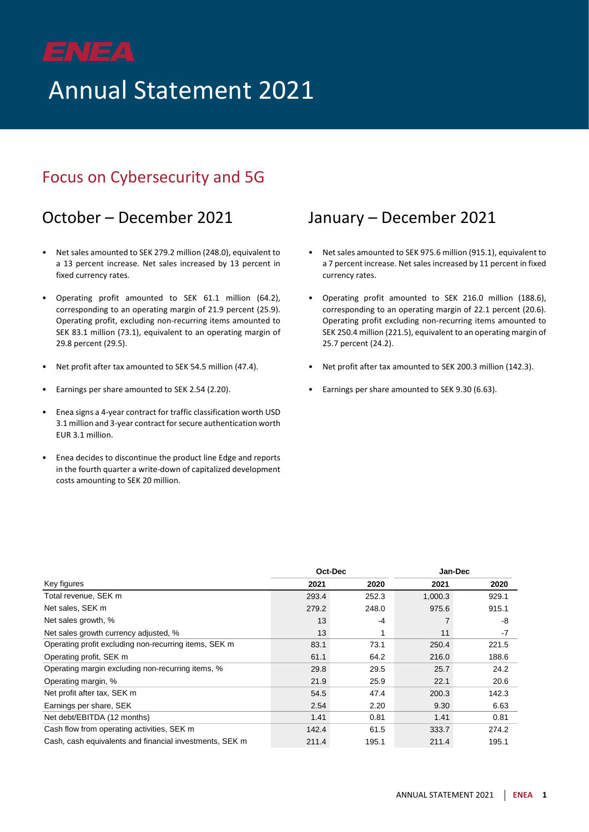# Annual Statement 2021

### Focus on Cybersecurity and 5G

### October – December 2021 January – December 2021

- Net sales amounted to SEK 279.2 million (248.0), equivalent to a 13 percent increase. Net sales increased by 13 percent in fixed currency rates.
- Operating profit amounted to SEK 61.1 million (64.2), corresponding to an operating margin of 21.9 percent (25.9). Operating profit, excluding non-recurring items amounted to SEK 83.1 million (73.1), equivalent to an operating margin of 29.8 percent (29.5).
- Net profit after tax amounted to SEK 54.5 million (47.4).
- Earnings per share amounted to SEK 2.54 (2.20).
- Enea signs a 4-year contract for traffic classification worth USD 3.1 million and 3-year contract for secure authentication worth EUR 3.1 million.
- Enea decides to discontinue the product line Edge and reports in the fourth quarter a write-down of capitalized development costs amounting to SEK 20 million.

- Net sales amounted to SEK 975.6 million (915.1), equivalent to a 7 percent increase. Net sales increased by 11 percent in fixed currency rates.
- Operating profit amounted to SEK 216.0 million (188.6), corresponding to an operating margin of 22.1 percent (20.6). Operating profit excluding non-recurring items amounted to SEK 250.4 million (221.5), equivalent to an operating margin of 25.7 percent (24.2).
- Net profit after tax amounted to SEK 200.3 million (142.3).
- Earnings per share amounted to SEK 9.30 (6.63).

| Oct-Dec                                                 |       |       | Jan-Dec |       |
|---------------------------------------------------------|-------|-------|---------|-------|
| Key figures                                             | 2021  | 2020  | 2021    | 2020  |
| Total revenue, SEK m                                    | 293.4 | 252.3 | 1,000.3 | 929.1 |
| Net sales, SEK m                                        | 279.2 | 248.0 | 975.6   | 915.1 |
| Net sales growth, %                                     | 13    | $-4$  |         | -8    |
| Net sales growth currency adjusted, %                   | 13    |       | 11      | $-7$  |
| Operating profit excluding non-recurring items, SEK m   | 83.1  | 73.1  | 250.4   | 221.5 |
| Operating profit, SEK m                                 | 61.1  | 64.2  | 216.0   | 188.6 |
| Operating margin excluding non-recurring items, %       | 29.8  | 29.5  | 25.7    | 24.2  |
| Operating margin, %                                     | 21.9  | 25.9  | 22.1    | 20.6  |
| Net profit after tax, SEK m                             | 54.5  | 47.4  | 200.3   | 142.3 |
| Earnings per share, SEK                                 | 2.54  | 2.20  | 9.30    | 6.63  |
| Net debt/EBITDA (12 months)                             | 1.41  | 0.81  | 1.41    | 0.81  |
| Cash flow from operating activities, SEK m              | 142.4 | 61.5  | 333.7   | 274.2 |
| Cash, cash equivalents and financial investments, SEK m | 211.4 | 195.1 | 211.4   | 195.1 |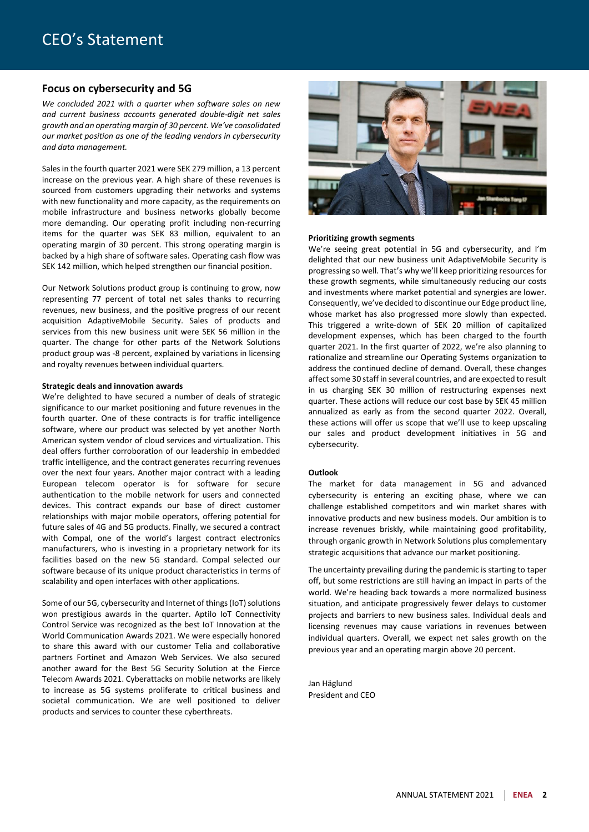### **Focus on cybersecurity and 5G**

*We concluded 2021 with a quarter when software sales on new and current business accounts generated double-digit net sales growth and an operating margin of 30 percent. We've consolidated our market position as one of the leading vendors in cybersecurity and data management.*

Sales in the fourth quarter 2021 were SEK 279 million, a 13 percent increase on the previous year. A high share of these revenues is sourced from customers upgrading their networks and systems with new functionality and more capacity, as the requirements on mobile infrastructure and business networks globally become more demanding. Our operating profit including non-recurring items for the quarter was SEK 83 million, equivalent to an operating margin of 30 percent. This strong operating margin is backed by a high share of software sales. Operating cash flow was SEK 142 million, which helped strengthen our financial position.

Our Network Solutions product group is continuing to grow, now representing 77 percent of total net sales thanks to recurring revenues, new business, and the positive progress of our recent acquisition AdaptiveMobile Security. Sales of products and services from this new business unit were SEK 56 million in the quarter. The change for other parts of the Network Solutions product group was -8 percent, explained by variations in licensing and royalty revenues between individual quarters.

#### **Strategic deals and innovation awards**

We're delighted to have secured a number of deals of strategic significance to our market positioning and future revenues in the fourth quarter. One of these contracts is for traffic intelligence software, where our product was selected by yet another North American system vendor of cloud services and virtualization. This deal offers further corroboration of our leadership in embedded traffic intelligence, and the contract generates recurring revenues over the next four years. Another major contract with a leading European telecom operator is for software for secure authentication to the mobile network for users and connected devices. This contract expands our base of direct customer relationships with major mobile operators, offering potential for future sales of 4G and 5G products. Finally, we secured a contract with Compal, one of the world's largest contract electronics manufacturers, who is investing in a proprietary network for its facilities based on the new 5G standard. Compal selected our software because of its unique product characteristics in terms of scalability and open interfaces with other applications.

Some of our 5G, cybersecurity and Internet of things (IoT) solutions won prestigious awards in the quarter. Aptilo IoT Connectivity Control Service was recognized as the best IoT Innovation at the World Communication Awards 2021. We were especially honored to share this award with our customer Telia and collaborative partners Fortinet and Amazon Web Services. We also secured another award for the Best 5G Security Solution at the Fierce Telecom Awards 2021. Cyberattacks on mobile networks are likely to increase as 5G systems proliferate to critical business and societal communication. We are well positioned to deliver products and services to counter these cyberthreats.



#### **Prioritizing growth segments**

We're seeing great potential in 5G and cybersecurity, and I'm delighted that our new business unit AdaptiveMobile Security is progressing so well. That's why we'll keep prioritizing resources for these growth segments, while simultaneously reducing our costs and investments where market potential and synergies are lower. Consequently, we've decided to discontinue our Edge product line, whose market has also progressed more slowly than expected. This triggered a write-down of SEK 20 million of capitalized development expenses, which has been charged to the fourth quarter 2021. In the first quarter of 2022, we're also planning to rationalize and streamline our Operating Systems organization to address the continued decline of demand. Overall, these changes affect some 30 staff in several countries, and are expected to result in us charging SEK 30 million of restructuring expenses next quarter. These actions will reduce our cost base by SEK 45 million annualized as early as from the second quarter 2022. Overall, these actions will offer us scope that we'll use to keep upscaling our sales and product development initiatives in 5G and cybersecurity.

#### **Outlook**

The market for data management in 5G and advanced cybersecurity is entering an exciting phase, where we can challenge established competitors and win market shares with innovative products and new business models. Our ambition is to increase revenues briskly, while maintaining good profitability, through organic growth in Network Solutions plus complementary strategic acquisitions that advance our market positioning.

The uncertainty prevailing during the pandemic is starting to taper off, but some restrictions are still having an impact in parts of the world. We're heading back towards a more normalized business situation, and anticipate progressively fewer delays to customer projects and barriers to new business sales. Individual deals and licensing revenues may cause variations in revenues between individual quarters. Overall, we expect net sales growth on the previous year and an operating margin above 20 percent.

Jan Häglund President and CEO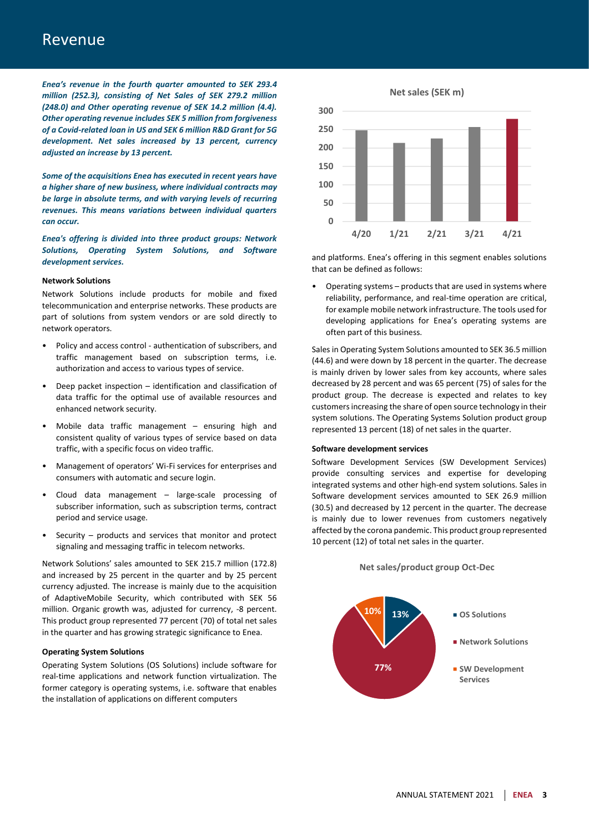### Revenue

*Enea's revenue in the fourth quarter amounted to SEK 293.4 million (252.3), consisting of Net Sales of SEK 279.2 million (248.0) and Other operating revenue of SEK 14.2 million (4.4). Other operating revenue includes SEK 5 million from forgiveness of a Covid-related loan in US and SEK 6 million R&D Grant for 5G development. Net sales increased by 13 percent, currency adjusted an increase by 13 percent.*

*Some of the acquisitions Enea has executed in recent years have a higher share of new business, where individual contracts may be large in absolute terms, and with varying levels of recurring revenues. This means variations between individual quarters can occur.*

*Enea's offering is divided into three product groups: Network Solutions, Operating System Solutions, and Software development services.*

#### **Network Solutions**

Network Solutions include products for mobile and fixed telecommunication and enterprise networks. These products are part of solutions from system vendors or are sold directly to network operators.

- Policy and access control authentication of subscribers, and traffic management based on subscription terms, i.e. authorization and access to various types of service.
- Deep packet inspection identification and classification of data traffic for the optimal use of available resources and enhanced network security.
- Mobile data traffic management  $-$  ensuring high and consistent quality of various types of service based on data traffic, with a specific focus on video traffic.
- Management of operators' Wi-Fi services for enterprises and consumers with automatic and secure login.
- Cloud data management large-scale processing of subscriber information, such as subscription terms, contract period and service usage.
- Security products and services that monitor and protect signaling and messaging traffic in telecom networks.

Network Solutions' sales amounted to SEK 215.7 million (172.8) and increased by 25 percent in the quarter and by 25 percent currency adjusted. The increase is mainly due to the acquisition of AdaptiveMobile Security, which contributed with SEK 56 million. Organic growth was, adjusted for currency, -8 percent. This product group represented 77 percent (70) of total net sales in the quarter and has growing strategic significance to Enea.

#### **Operating System Solutions**

Operating System Solutions (OS Solutions) include software for real-time applications and network function virtualization. The former category is operating systems, i.e. software that enables the installation of applications on different computers



and platforms. Enea's offering in this segment enables solutions that can be defined as follows:

• Operating systems – products that are used in systems where reliability, performance, and real-time operation are critical, for example mobile network infrastructure. The tools used for developing applications for Enea's operating systems are often part of this business.

Sales in Operating System Solutions amounted to SEK 36.5 million (44.6) and were down by 18 percent in the quarter. The decrease is mainly driven by lower sales from key accounts, where sales decreased by 28 percent and was 65 percent (75) of sales for the product group. The decrease is expected and relates to key customersincreasing the share of open source technology in their system solutions. The Operating Systems Solution product group represented 13 percent (18) of net sales in the quarter.

#### **Software development services**

Software Development Services (SW Development Services) provide consulting services and expertise for developing integrated systems and other high-end system solutions. Sales in Software development services amounted to SEK 26.9 million (30.5) and decreased by 12 percent in the quarter. The decrease is mainly due to lower revenues from customers negatively affected by the corona pandemic. This product group represented 10 percent (12) of total net sales in the quarter.



### **Net sales/product group Oct-Dec**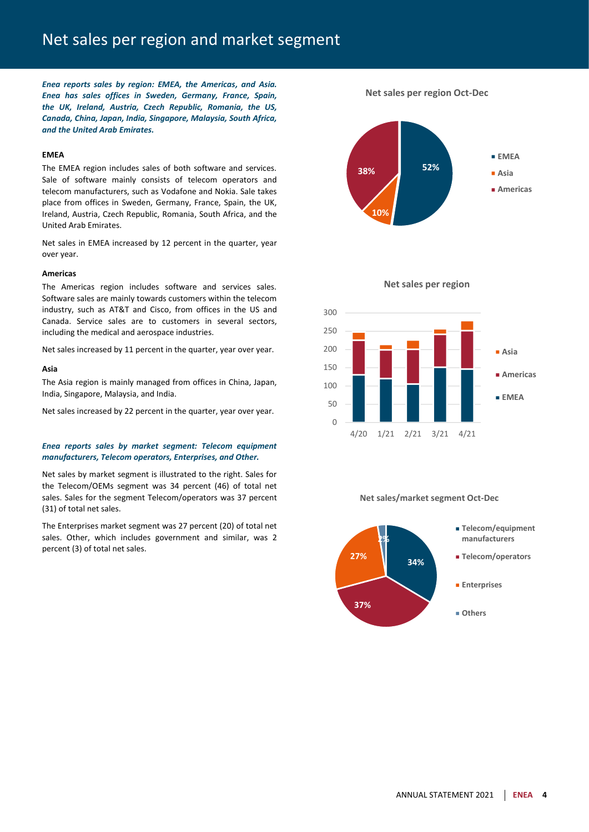### Net sales per region and market segment

*Enea reports sales by region: EMEA, the Americas, and Asia. Enea has sales offices in Sweden, Germany, France, Spain, the UK, Ireland, Austria, Czech Republic, Romania, the US, Canada, China, Japan, India, Singapore, Malaysia, South Africa, and the United Arab Emirates.*

#### **EMEA**

The EMEA region includes sales of both software and services. Sale of software mainly consists of telecom operators and telecom manufacturers, such as Vodafone and Nokia. Sale takes place from offices in Sweden, Germany, France, Spain, the UK, Ireland, Austria, Czech Republic, Romania, South Africa, and the United Arab Emirates.

Net sales in EMEA increased by 12 percent in the quarter, year over year.

#### **Americas**

The Americas region includes software and services sales. Software sales are mainly towards customers within the telecom industry, such as AT&T and Cisco, from offices in the US and Canada. Service sales are to customers in several sectors, including the medical and aerospace industries.

Net sales increased by 11 percent in the quarter, year over year.

#### **Asia**

The Asia region is mainly managed from offices in China, Japan, India, Singapore, Malaysia, and India.

Net sales increased by 22 percent in the quarter, year over year.

### *Enea reports sales by market segment: Telecom equipment manufacturers, Telecom operators, Enterprises, and Other.*

Net sales by market segment is illustrated to the right. Sales for the Telecom/OEMs segment was 34 percent (46) of total net sales. Sales for the segment Telecom/operators was 37 percent (31) of total net sales.

The Enterprises market segment was 27 percent (20) of total net sales. Other, which includes government and similar, was 2 percent (3) of total net sales.

**52% 10% 38% EMEA Asia Americas**

**Net sales per region Oct-Dec**



**Net sales/market segment Oct-Dec**



### ANNUAL STATEMENT 2021 **ENEA 4**

**Net sales per region**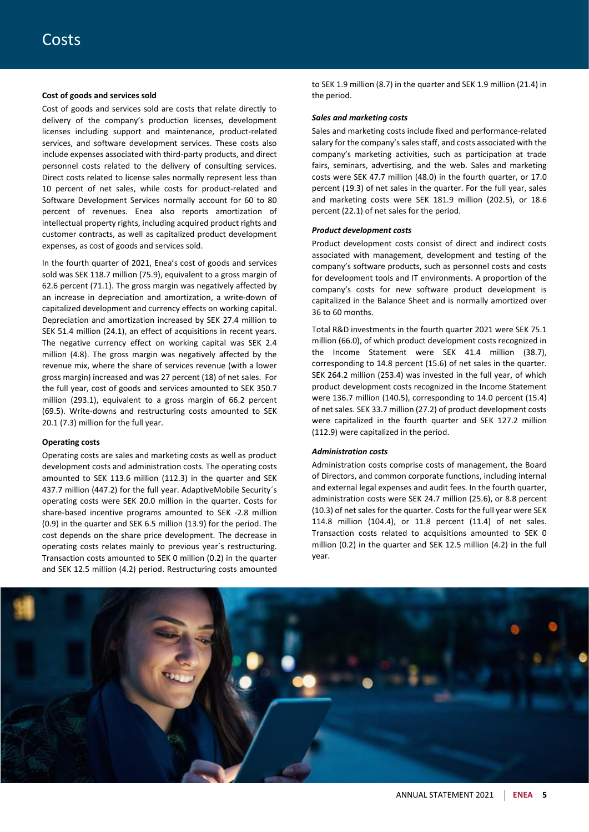#### **Cost of goods and services sold**

Cost of goods and services sold are costs that relate directly to delivery of the company's production licenses, development licenses including support and maintenance, product-related services, and software development services. These costs also include expenses associated with third-party products, and direct personnel costs related to the delivery of consulting services. Direct costs related to license sales normally represent less than 10 percent of net sales, while costs for product-related and Software Development Services normally account for 60 to 80 percent of revenues. Enea also reports amortization of intellectual property rights, including acquired product rights and customer contracts, as well as capitalized product development expenses, as cost of goods and services sold.

In the fourth quarter of 2021, Enea's cost of goods and services sold was SEK 118.7 million (75.9), equivalent to a gross margin of 62.6 percent (71.1). The gross margin was negatively affected by an increase in depreciation and amortization, a write-down of capitalized development and currency effects on working capital. Depreciation and amortization increased by SEK 27.4 million to SEK 51.4 million (24.1), an effect of acquisitions in recent years. The negative currency effect on working capital was SEK 2.4 million (4.8). The gross margin was negatively affected by the revenue mix, where the share of services revenue (with a lower gross margin) increased and was 27 percent (18) of net sales. For the full year, cost of goods and services amounted to SEK 350.7 million (293.1), equivalent to a gross margin of 66.2 percent (69.5). Write-downs and restructuring costs amounted to SEK 20.1 (7.3) million for the full year.

#### **Operating costs**

Operating costs are sales and marketing costs as well as product development costs and administration costs. The operating costs amounted to SEK 113.6 million (112.3) in the quarter and SEK 437.7 million (447.2) for the full year. AdaptiveMobile Security´s operating costs were SEK 20.0 million in the quarter. Costs for share-based incentive programs amounted to SEK -2.8 million (0.9) in the quarter and SEK 6.5 million (13.9) for the period. The cost depends on the share price development. The decrease in operating costs relates mainly to previous year´s restructuring. Transaction costs amounted to SEK 0 million (0.2) in the quarter and SEK 12.5 million (4.2) period. Restructuring costs amounted

to SEK 1.9 million (8.7) in the quarter and SEK 1.9 million (21.4) in the period.

#### *Sales and marketing costs*

Sales and marketing costs include fixed and performance-related salary for the company's sales staff, and costs associated with the company's marketing activities, such as participation at trade fairs, seminars, advertising, and the web. Sales and marketing costs were SEK 47.7 million (48.0) in the fourth quarter, or 17.0 percent (19.3) of net sales in the quarter. For the full year, sales and marketing costs were SEK 181.9 million (202.5), or 18.6 percent (22.1) of net sales for the period.

#### *Product development costs*

Product development costs consist of direct and indirect costs associated with management, development and testing of the company's software products, such as personnel costs and costs for development tools and IT environments. A proportion of the company's costs for new software product development is capitalized in the Balance Sheet and is normally amortized over 36 to 60 months.

Total R&D investments in the fourth quarter 2021 were SEK 75.1 million (66.0), of which product development costs recognized in the Income Statement were SEK 41.4 million (38.7), corresponding to 14.8 percent (15.6) of net sales in the quarter. SEK 264.2 million (253.4) was invested in the full year, of which product development costs recognized in the Income Statement were 136.7 million (140.5), corresponding to 14.0 percent (15.4) of net sales. SEK 33.7 million (27.2) of product development costs were capitalized in the fourth quarter and SEK 127.2 million (112.9) were capitalized in the period.

#### *Administration costs*

Administration costs comprise costs of management, the Board of Directors, and common corporate functions, including internal and external legal expenses and audit fees. In the fourth quarter, administration costs were SEK 24.7 million (25.6), or 8.8 percent (10.3) of net sales for the quarter. Costs for the full year were SEK 114.8 million (104.4), or 11.8 percent (11.4) of net sales. Transaction costs related to acquisitions amounted to SEK 0 million (0.2) in the quarter and SEK 12.5 million (4.2) in the full year.

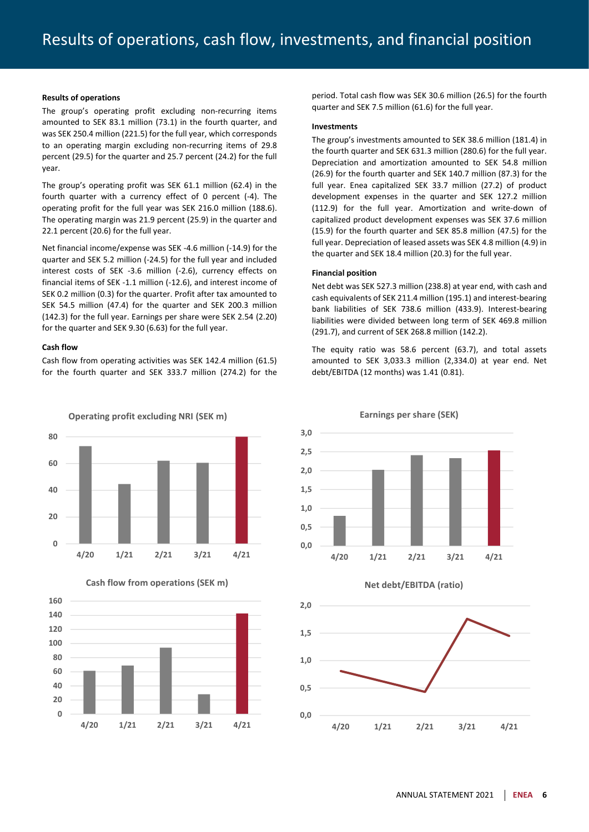#### **Results of operations**

The group's operating profit excluding non-recurring items amounted to SEK 83.1 million (73.1) in the fourth quarter, and was SEK 250.4 million (221.5) for the full year, which corresponds to an operating margin excluding non-recurring items of 29.8 percent (29.5) for the quarter and 25.7 percent (24.2) for the full year.

The group's operating profit was SEK 61.1 million (62.4) in the fourth quarter with a currency effect of 0 percent (-4). The operating profit for the full year was SEK 216.0 million (188.6). The operating margin was 21.9 percent (25.9) in the quarter and 22.1 percent (20.6) for the full year.

Net financial income/expense was SEK -4.6 million (-14.9) for the quarter and SEK 5.2 million (-24.5) for the full year and included interest costs of SEK -3.6 million (-2.6), currency effects on financial items of SEK -1.1 million (-12.6), and interest income of SEK 0.2 million (0.3) for the quarter. Profit after tax amounted to SEK 54.5 million (47.4) for the quarter and SEK 200.3 million (142.3) for the full year. Earnings per share were SEK 2.54 (2.20) for the quarter and SEK 9.30 (6.63) for the full year.

#### **Cash flow**

Cash flow from operating activities was SEK 142.4 million (61.5) for the fourth quarter and SEK 333.7 million (274.2) for the





**Cash flow from operations (SEK m)**

period. Total cash flow was SEK 30.6 million (26.5) for the fourth quarter and SEK 7.5 million (61.6) for the full year.

#### **Investments**

The group's investments amounted to SEK 38.6 million (181.4) in the fourth quarter and SEK 631.3 million (280.6) for the full year. Depreciation and amortization amounted to SEK 54.8 million (26.9) for the fourth quarter and SEK 140.7 million (87.3) for the full year. Enea capitalized SEK 33.7 million (27.2) of product development expenses in the quarter and SEK 127.2 million (112.9) for the full year. Amortization and write-down of capitalized product development expenses was SEK 37.6 million (15.9) for the fourth quarter and SEK 85.8 million (47.5) for the full year. Depreciation of leased assets was SEK 4.8 million (4.9) in the quarter and SEK 18.4 million (20.3) for the full year.

#### **Financial position**

Net debt was SEK 527.3 million (238.8) at year end, with cash and cash equivalents of SEK 211.4 million (195.1) and interest-bearing bank liabilities of SEK 738.6 million (433.9). Interest-bearing liabilities were divided between long term of SEK 469.8 million (291.7), and current of SEK 268.8 million (142.2).

The equity ratio was 58.6 percent (63.7), and total assets amounted to SEK 3,033.3 million (2,334.0) at year end. Net debt/EBITDA (12 months) was 1.41 (0.81).







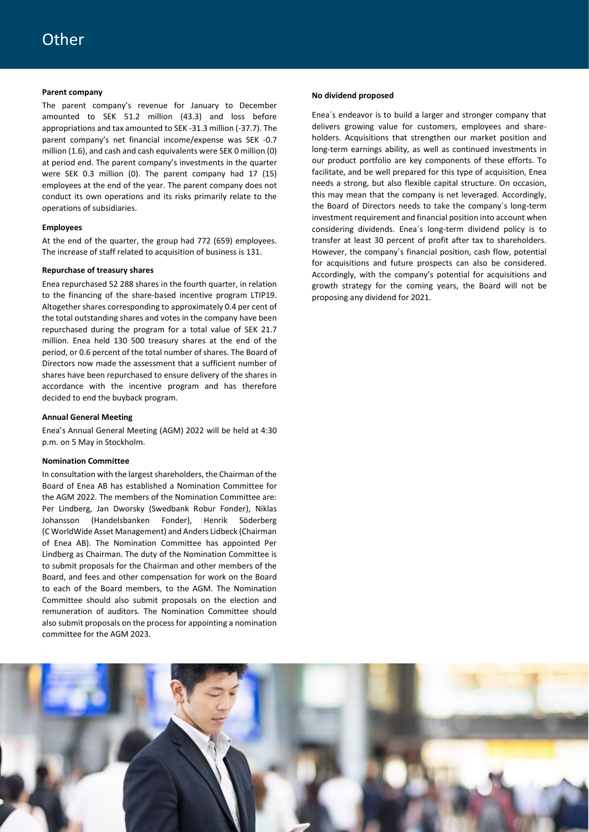#### **Parent company**

The parent company's revenue for January to December amounted to SEK 51.2 million (43.3) and loss before appropriations and tax amounted to SEK -31.3 million (-37.7). The parent company's net financial income/expense was SEK -0.7 million (1.6), and cash and cash equivalents were SEK 0 million (0) at period end. The parent company's investments in the quarter were SEK 0.3 million (0). The parent company had 17 (15) employees at the end of the year. The parent company does not conduct its own operations and its risks primarily relate to the operations of subsidiaries.

#### **Employees**

At the end of the quarter, the group had 772 (659) employees. The increase of staff related to acquisition of business is 131.

#### **Repurchase of treasury shares**

Enea repurchased 52 288 shares in the fourth quarter, in relation to the financing of the share-based incentive program LTIP19. Altogether shares corresponding to approximately 0.4 per cent of the total outstanding shares and votes in the company have been repurchased during the program for a total value of SEK 21.7 million. Enea held 130 500 treasury shares at the end of the period, or 0.6 percent of the total number of shares. The Board of Directors now made the assessment that a sufficient number of shares have been repurchased to ensure delivery of the shares in accordance with the incentive program and has therefore decided to end the buyback program.

#### **Annual General Meeting**

Enea's Annual General Meeting (AGM) 2022 will be held at 4:30 p.m. on 5 May in Stockholm.

#### **Nomination Committee**

In consultation with the largest shareholders, the Chairman of the Board of Enea AB has established a Nomination Committee for the AGM 2022. The members of the Nomination Committee are: Per Lindberg, Jan Dworsky (Swedbank Robur Fonder), Niklas Johansson (Handelsbanken Fonder), Henrik Söderberg (C WorldWide Asset Management) and Anders Lidbeck (Chairman of Enea AB). The Nomination Committee has appointed Per Lindberg as Chairman. The duty of the Nomination Committee is to submit proposals for the Chairman and other members of the Board, and fees and other compensation for work on the Board to each of the Board members, to the AGM. The Nomination Committee should also submit proposals on the election and remuneration of auditors. The Nomination Committee should also submit proposals on the process for appointing a nomination committee for the AGM 2023.

#### **No dividend proposed**

Enea´s endeavor is to build a larger and stronger company that delivers growing value for customers, employees and shareholders. Acquisitions that strengthen our market position and long-term earnings ability, as well as continued investments in our product portfolio are key components of these efforts. To facilitate, and be well prepared for this type of acquisition, Enea needs a strong, but also flexible capital structure. On occasion, this may mean that the company is net leveraged. Accordingly, the Board of Directors needs to take the company´s long-term investment requirement and financial position into account when considering dividends. Enea´s long-term dividend policy is to transfer at least 30 percent of profit after tax to shareholders. However, the company´s financial position, cash flow, potential for acquisitions and future prospects can also be considered. Accordingly, with the company's potential for acquisitions and growth strategy for the coming years, the Board will not be proposing any dividend for 2021.

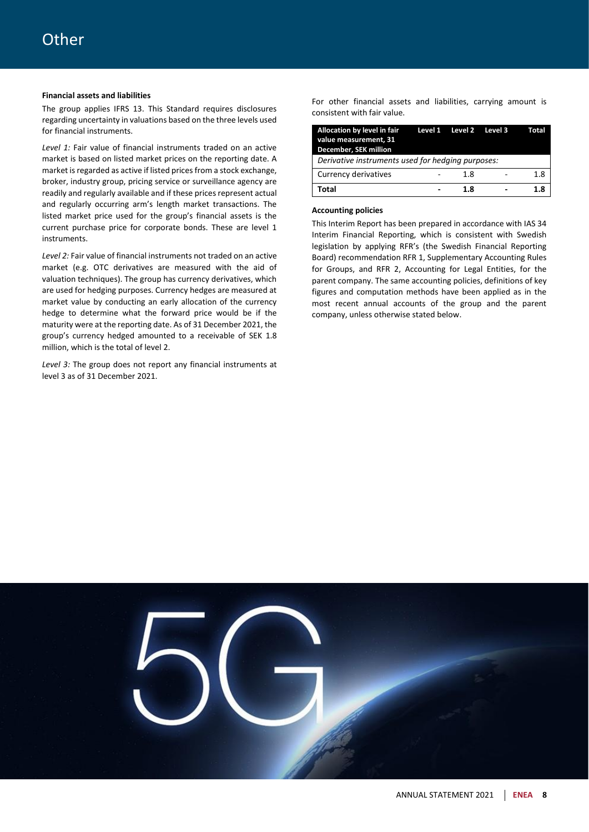### **Financial assets and liabilities**

The group applies IFRS 13. This Standard requires disclosures regarding uncertainty in valuations based on the three levels used for financial instruments.

*Level 1:* Fair value of financial instruments traded on an active market is based on listed market prices on the reporting date. A market is regarded as active if listed prices from a stock exchange, broker, industry group, pricing service or surveillance agency are readily and regularly available and if these prices represent actual and regularly occurring arm's length market transactions. The listed market price used for the group's financial assets is the current purchase price for corporate bonds. These are level 1 instruments.

*Level 2:* Fair value of financial instruments not traded on an active market (e.g. OTC derivatives are measured with the aid of valuation techniques). The group has currency derivatives, which are used for hedging purposes. Currency hedges are measured at market value by conducting an early allocation of the currency hedge to determine what the forward price would be if the maturity were at the reporting date. As of 31 December 2021, the group's currency hedged amounted to a receivable of SEK 1.8 million, which is the total of level 2.

*Level 3:* The group does not report any financial instruments at level 3 as of 31 December 2021.

For other financial assets and liabilities, carrying amount is consistent with fair value.

| Allocation by level in fair<br>value measurement, 31<br>December, SEK million | Level 1 Level 2 Level 3 | Total |
|-------------------------------------------------------------------------------|-------------------------|-------|
| Derivative instruments used for hedging purposes:                             |                         |       |
| Currency derivatives                                                          | 1.8                     | 1.8   |
| Total                                                                         | 1.8                     | 1.8   |

### **Accounting policies**

This Interim Report has been prepared in accordance with IAS 34 Interim Financial Reporting, which is consistent with Swedish legislation by applying RFR's (the Swedish Financial Reporting Board) recommendation RFR 1, Supplementary Accounting Rules for Groups, and RFR 2, Accounting for Legal Entities, for the parent company. The same accounting policies, definitions of key figures and computation methods have been applied as in the most recent annual accounts of the group and the parent company, unless otherwise stated below.

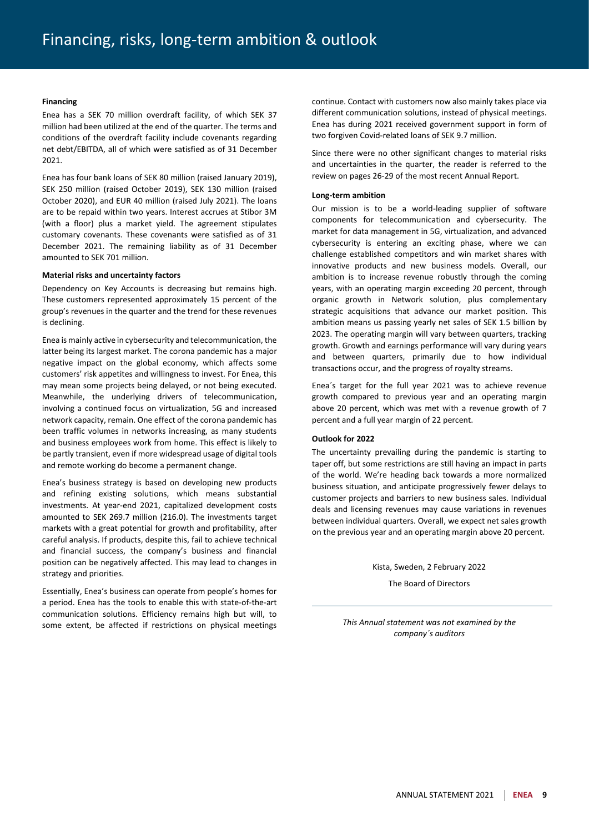#### **Financing**

Enea has a SEK 70 million overdraft facility, of which SEK 37 million had been utilized at the end of the quarter. The terms and conditions of the overdraft facility include covenants regarding net debt/EBITDA, all of which were satisfied as of 31 December 2021.

Enea has four bank loans of SEK 80 million (raised January 2019), SEK 250 million (raised October 2019), SEK 130 million (raised October 2020), and EUR 40 million (raised July 2021). The loans are to be repaid within two years. Interest accrues at Stibor 3M (with a floor) plus a market yield. The agreement stipulates customary covenants. These covenants were satisfied as of 31 December 2021. The remaining liability as of 31 December amounted to SEK 701 million.

#### **Material risks and uncertainty factors**

Dependency on Key Accounts is decreasing but remains high. These customers represented approximately 15 percent of the group's revenues in the quarter and the trend for these revenues is declining.

Enea is mainly active in cybersecurity and telecommunication, the latter being its largest market. The corona pandemic has a major negative impact on the global economy, which affects some customers' risk appetites and willingness to invest. For Enea, this may mean some projects being delayed, or not being executed. Meanwhile, the underlying drivers of telecommunication, involving a continued focus on virtualization, 5G and increased network capacity, remain. One effect of the corona pandemic has been traffic volumes in networks increasing, as many students and business employees work from home. This effect is likely to be partly transient, even if more widespread usage of digital tools and remote working do become a permanent change.

Enea's business strategy is based on developing new products and refining existing solutions, which means substantial investments. At year-end 2021, capitalized development costs amounted to SEK 269.7 million (216.0). The investments target markets with a great potential for growth and profitability, after careful analysis. If products, despite this, fail to achieve technical and financial success, the company's business and financial position can be negatively affected. This may lead to changes in strategy and priorities.

Essentially, Enea's business can operate from people's homes for a period. Enea has the tools to enable this with state-of-the-art communication solutions. Efficiency remains high but will, to some extent, be affected if restrictions on physical meetings

continue. Contact with customers now also mainly takes place via different communication solutions, instead of physical meetings. Enea has during 2021 received government support in form of two forgiven Covid-related loans of SEK 9.7 million.

Since there were no other significant changes to material risks and uncertainties in the quarter, the reader is referred to the review on pages 26-29 of the most recent Annual Report.

#### **Long-term ambition**

Our mission is to be a world-leading supplier of software components for telecommunication and cybersecurity. The market for data management in 5G, virtualization, and advanced cybersecurity is entering an exciting phase, where we can challenge established competitors and win market shares with innovative products and new business models. Overall, our ambition is to increase revenue robustly through the coming years, with an operating margin exceeding 20 percent, through organic growth in Network solution, plus complementary strategic acquisitions that advance our market position. This ambition means us passing yearly net sales of SEK 1.5 billion by 2023. The operating margin will vary between quarters, tracking growth. Growth and earnings performance will vary during years and between quarters, primarily due to how individual transactions occur, and the progress of royalty streams.

Enea´s target for the full year 2021 was to achieve revenue growth compared to previous year and an operating margin above 20 percent, which was met with a revenue growth of 7 percent and a full year margin of 22 percent.

#### **Outlook for 2022**

The uncertainty prevailing during the pandemic is starting to taper off, but some restrictions are still having an impact in parts of the world. We're heading back towards a more normalized business situation, and anticipate progressively fewer delays to customer projects and barriers to new business sales. Individual deals and licensing revenues may cause variations in revenues between individual quarters. Overall, we expect net sales growth on the previous year and an operating margin above 20 percent.

Kista, Sweden, 2 February 2022

The Board of Directors

*This Annual statement was not examined by the company´s auditors*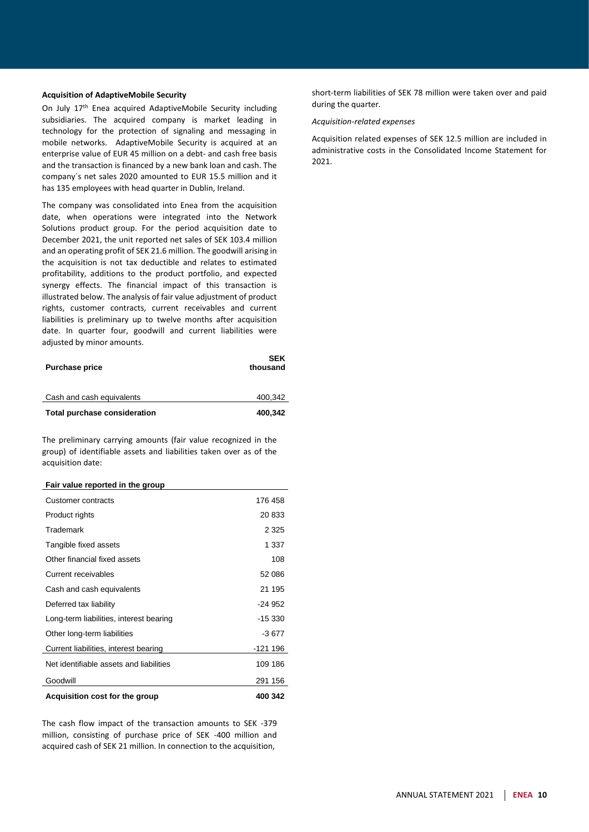#### **Acquisition of AdaptiveMobile Security**

On July 17th Enea acquired AdaptiveMobile Security including subsidiaries. The acquired company is market leading in technology for the protection of signaling and messaging in mobile networks. AdaptiveMobile Security is acquired at an enterprise value of EUR 45 million on a debt- and cash free basis and the transaction is financed by a new bank loan and cash. The company´s net sales 2020 amounted to EUR 15.5 million and it has 135 employees with head quarter in Dublin, Ireland.

The company was consolidated into Enea from the acquisition date, when operations were integrated into the Network Solutions product group. For the period acquisition date to December 2021, the unit reported net sales of SEK 103.4 million and an operating profit of SEK 21.6 million. The goodwill arising in the acquisition is not tax deductible and relates to estimated profitability, additions to the product portfolio, and expected synergy effects. The financial impact of this transaction is illustrated below. The analysis of fair value adjustment of product rights, customer contracts, current receivables and current liabilities is preliminary up to twelve months after acquisition date. In quarter four, goodwill and current liabilities were adjusted by minor amounts.

| <b>Purchase price</b>        | <b>SEK</b><br>thousand |
|------------------------------|------------------------|
| Cash and cash equivalents    | 400.342                |
| Total purchase consideration | 400,342                |

The preliminary carrying amounts (fair value recognized in the group) of identifiable assets and liabilities taken over as of the acquisition date:

#### **Fair value reported in the group**

| Acquisition cost for the group          | 400 342  |
|-----------------------------------------|----------|
| Goodwill                                | 291 156  |
| Net identifiable assets and liabilities | 109 186  |
| Current liabilities, interest bearing   | -121 196 |
| Other long-term liabilities             | -3 677   |
| Long-term liabilities, interest bearing | $-15330$ |
| Deferred tax liability                  | -24 952  |
| Cash and cash equivalents               | 21 195   |
| Current receivables                     | 52 086   |
| Other financial fixed assets            | 108      |
| Tangible fixed assets                   | 1 337    |
| Trademark                               | 2 3 2 5  |
| Product rights                          | 20 833   |
| Customer contracts                      | 176 458  |

The cash flow impact of the transaction amounts to SEK -379 million, consisting of purchase price of SEK -400 million and acquired cash of SEK 21 million. In connection to the acquisition,

short-term liabilities of SEK 78 million were taken over and paid during the quarter.

#### *Acquisition-related expenses*

Acquisition related expenses of SEK 12.5 million are included in administrative costs in the Consolidated Income Statement for  $2021$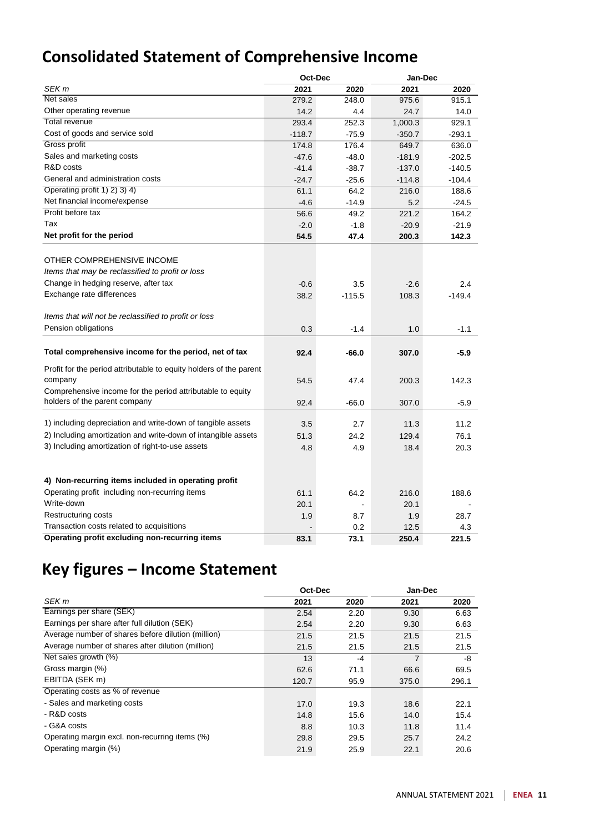### **Consolidated Statement of Comprehensive Income**

|                                                                    | Oct-Dec  |          |          | Jan-Dec  |  |
|--------------------------------------------------------------------|----------|----------|----------|----------|--|
| SEK <sub>m</sub>                                                   | 2021     | 2020     | 2021     | 2020     |  |
| Net sales                                                          | 279.2    | 248.0    | 975.6    | 915.1    |  |
| Other operating revenue                                            | 14.2     | 4.4      | 24.7     | 14.0     |  |
| <b>Total revenue</b>                                               | 293.4    | 252.3    | 1,000.3  | 929.1    |  |
| Cost of goods and service sold                                     | $-118.7$ | $-75.9$  | $-350.7$ | $-293.1$ |  |
| Gross profit                                                       | 174.8    | 176.4    | 649.7    | 636.0    |  |
| Sales and marketing costs                                          | $-47.6$  | $-48.0$  | $-181.9$ | $-202.5$ |  |
| R&D costs                                                          | $-41.4$  | $-38.7$  | $-137.0$ | $-140.5$ |  |
| General and administration costs                                   | $-24.7$  | $-25.6$  | $-114.8$ | $-104.4$ |  |
| Operating profit 1) 2) 3) 4)                                       | 61.1     | 64.2     | 216.0    | 188.6    |  |
| Net financial income/expense                                       | $-4.6$   | $-14.9$  | 5.2      | $-24.5$  |  |
| Profit before tax                                                  | 56.6     | 49.2     | 221.2    | 164.2    |  |
| Tax                                                                | $-2.0$   | $-1.8$   | $-20.9$  | $-21.9$  |  |
| Net profit for the period                                          | 54.5     | 47.4     | 200.3    | 142.3    |  |
|                                                                    |          |          |          |          |  |
| OTHER COMPREHENSIVE INCOME                                         |          |          |          |          |  |
| Items that may be reclassified to profit or loss                   |          |          |          |          |  |
| Change in hedging reserve, after tax                               | $-0.6$   | 3.5      | $-2.6$   | 2.4      |  |
| Exchange rate differences                                          | 38.2     | $-115.5$ | 108.3    | $-149.4$ |  |
| Items that will not be reclassified to profit or loss              |          |          |          |          |  |
| Pension obligations                                                | 0.3      | $-1.4$   | 1.0      | $-1.1$   |  |
|                                                                    |          |          |          |          |  |
| Total comprehensive income for the period, net of tax              | 92.4     | $-66.0$  | 307.0    | $-5.9$   |  |
| Profit for the period attributable to equity holders of the parent |          |          |          |          |  |
| company                                                            | 54.5     | 47.4     | 200.3    | 142.3    |  |
| Comprehensive income for the period attributable to equity         |          |          |          |          |  |
| holders of the parent company                                      | 92.4     | $-66.0$  | 307.0    | $-5.9$   |  |
| 1) including depreciation and write-down of tangible assets        | 3.5      | 2.7      | 11.3     | 11.2     |  |
| 2) Including amortization and write-down of intangible assets      |          |          | 129.4    | 76.1     |  |
| 3) Including amortization of right-to-use assets                   | 51.3     | 24.2     |          |          |  |
|                                                                    | 4.8      | 4.9      | 18.4     | 20.3     |  |
|                                                                    |          |          |          |          |  |
| 4) Non-recurring items included in operating profit                |          |          |          |          |  |
| Operating profit including non-recurring items                     | 61.1     | 64.2     | 216.0    | 188.6    |  |
| Write-down                                                         | 20.1     |          | 20.1     |          |  |
| Restructuring costs                                                | 1.9      | 8.7      | 1.9      | 28.7     |  |
| Transaction costs related to acquisitions                          |          | 0.2      | 12.5     | 4.3      |  |
| Operating profit excluding non-recurring items                     | 83.1     | 73.1     | 250.4    | 221.5    |  |

# **Key figures – Income Statement**

|                                                    | Oct-Dec |      | Jan-Dec |       |
|----------------------------------------------------|---------|------|---------|-------|
| SEK m                                              | 2021    | 2020 | 2021    | 2020  |
| Earnings per share (SEK)                           | 2.54    | 2.20 | 9.30    | 6.63  |
| Earnings per share after full dilution (SEK)       | 2.54    | 2.20 | 9.30    | 6.63  |
| Average number of shares before dilution (million) | 21.5    | 21.5 | 21.5    | 21.5  |
| Average number of shares after dilution (million)  | 21.5    | 21.5 | 21.5    | 21.5  |
| Net sales growth (%)                               | 13      | $-4$ | 7       | -8    |
| Gross margin (%)                                   | 62.6    | 71.1 | 66.6    | 69.5  |
| EBITDA (SEK m)                                     | 120.7   | 95.9 | 375.0   | 296.1 |
| Operating costs as % of revenue                    |         |      |         |       |
| - Sales and marketing costs                        | 17.0    | 19.3 | 18.6    | 22.1  |
| - R&D costs                                        | 14.8    | 15.6 | 14.0    | 15.4  |
| - G&A costs                                        | 8.8     | 10.3 | 11.8    | 11.4  |
| Operating margin excl. non-recurring items (%)     | 29.8    | 29.5 | 25.7    | 24.2  |
| Operating margin (%)                               | 21.9    | 25.9 | 22.1    | 20.6  |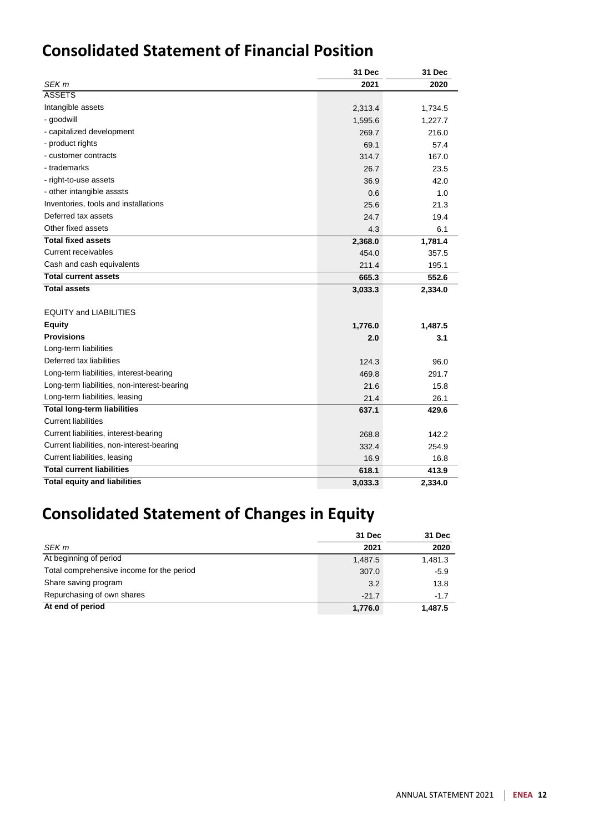### **Consolidated Statement of Financial Position**

|                                             | 31 Dec  | 31 Dec  |
|---------------------------------------------|---------|---------|
| SEK <sub>m</sub>                            | 2021    | 2020    |
| <b>ASSETS</b>                               |         |         |
| Intangible assets                           | 2,313.4 | 1,734.5 |
| - goodwill                                  | 1,595.6 | 1,227.7 |
| - capitalized development                   | 269.7   | 216.0   |
| - product rights                            | 69.1    | 57.4    |
| - customer contracts                        | 314.7   | 167.0   |
| - trademarks                                | 26.7    | 23.5    |
| - right-to-use assets                       | 36.9    | 42.0    |
| - other intangible asssts                   | 0.6     | 1.0     |
| Inventories, tools and installations        | 25.6    | 21.3    |
| Deferred tax assets                         | 24.7    | 19.4    |
| Other fixed assets                          | 4.3     | 6.1     |
| <b>Total fixed assets</b>                   | 2,368.0 | 1,781.4 |
| <b>Current receivables</b>                  | 454.0   | 357.5   |
| Cash and cash equivalents                   | 211.4   | 195.1   |
| <b>Total current assets</b>                 | 665.3   | 552.6   |
| <b>Total assets</b>                         | 3,033.3 | 2,334.0 |
| <b>EQUITY and LIABILITIES</b>               |         |         |
| <b>Equity</b>                               | 1,776.0 | 1,487.5 |
| <b>Provisions</b>                           | 2.0     | 3.1     |
| Long-term liabilities                       |         |         |
| Deferred tax liabilities                    | 124.3   | 96.0    |
| Long-term liabilities, interest-bearing     | 469.8   | 291.7   |
| Long-term liabilities, non-interest-bearing | 21.6    | 15.8    |
| Long-term liabilities, leasing              | 21.4    | 26.1    |
| <b>Total long-term liabilities</b>          | 637.1   | 429.6   |
| <b>Current liabilities</b>                  |         |         |
| Current liabilities, interest-bearing       | 268.8   | 142.2   |
| Current liabilities, non-interest-bearing   | 332.4   | 254.9   |
| Current liabilities, leasing                | 16.9    | 16.8    |
| <b>Total current liabilities</b>            | 618.1   | 413.9   |
| <b>Total equity and liabilities</b>         | 3,033.3 | 2,334.0 |

# **Consolidated Statement of Changes in Equity**

|                                           | 31 Dec  | 31 Dec  |
|-------------------------------------------|---------|---------|
| SEK m                                     | 2021    | 2020    |
| At beginning of period                    | 1,487.5 | 1,481.3 |
| Total comprehensive income for the period | 307.0   | $-5.9$  |
| Share saving program                      | 3.2     | 13.8    |
| Repurchasing of own shares                | $-21.7$ | $-1.7$  |
| At end of period                          | 1,776.0 | 1.487.5 |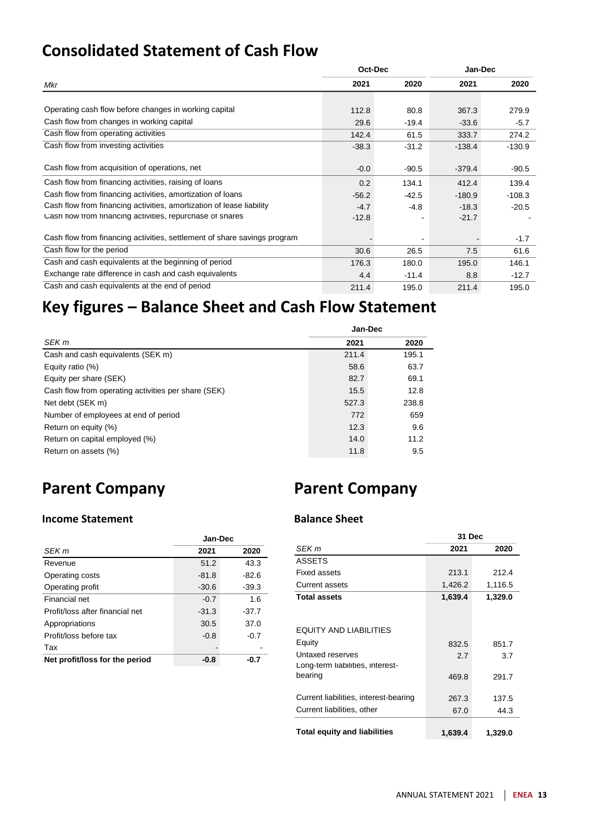## **Consolidated Statement of Cash Flow**

|                                                                          | Oct-Dec |         | Jan-Dec  |          |
|--------------------------------------------------------------------------|---------|---------|----------|----------|
| Mkr                                                                      | 2021    | 2020    | 2021     | 2020     |
|                                                                          |         |         |          |          |
| Operating cash flow before changes in working capital                    | 112.8   | 80.8    | 367.3    | 279.9    |
| Cash flow from changes in working capital                                | 29.6    | $-19.4$ | $-33.6$  | $-5.7$   |
| Cash flow from operating activities                                      | 142.4   | 61.5    | 333.7    | 274.2    |
| Cash flow from investing activities                                      | $-38.3$ | $-31.2$ | $-138.4$ | $-130.9$ |
|                                                                          |         |         |          |          |
| Cash flow from acquisition of operations, net                            | $-0.0$  | $-90.5$ | $-379.4$ | $-90.5$  |
| Cash flow from financing activities, raising of loans                    | 0.2     | 134.1   | 412.4    | 139.4    |
| Cash flow from financing activities, amortization of loans               | $-56.2$ | $-42.5$ | $-180.9$ | $-108.3$ |
| Cash flow from financing activities, amortization of lease liability     | $-4.7$  | $-4.8$  | $-18.3$  | $-20.5$  |
| Cash flow from financing activities, repurchase of shares                | $-12.8$ |         | $-21.7$  |          |
|                                                                          |         |         |          |          |
| Cash flow from financing activities, settlement of share savings program |         |         |          | $-1.7$   |
| Cash flow for the period                                                 | 30.6    | 26.5    | 7.5      | 61.6     |
| Cash and cash equivalents at the beginning of period                     | 176.3   | 180.0   | 195.0    | 146.1    |
| Exchange rate difference in cash and cash equivalents                    | 4.4     | $-11.4$ | 8.8      | $-12.7$  |
| Cash and cash equivalents at the end of period                           | 211.4   | 195.0   | 211.4    | 195.0    |

# **Key figures – Balance Sheet and Cash Flow Statement**

|                                                     | Jan-Dec |       |
|-----------------------------------------------------|---------|-------|
| SEK m                                               | 2021    | 2020  |
| Cash and cash equivalents (SEK m)                   | 211.4   | 195.1 |
| Equity ratio (%)                                    | 58.6    | 63.7  |
| Equity per share (SEK)                              | 82.7    | 69.1  |
| Cash flow from operating activities per share (SEK) | 15.5    | 12.8  |
| Net debt (SEK m)                                    | 527.3   | 238.8 |
| Number of employees at end of period                | 772     | 659   |
| Return on equity (%)                                | 12.3    | 9.6   |
| Return on capital employed (%)                      | 14.0    | 11.2  |
| Return on assets (%)                                | 11.8    | 9.5   |

# **Parent Company**

# **Parent Company**

### **Income Statement**

|                                 | Jan-Dec |         |
|---------------------------------|---------|---------|
| SEK m                           | 2021    | 2020    |
| Revenue                         | 51.2    | 43.3    |
| Operating costs                 | $-81.8$ | $-82.6$ |
| Operating profit                | $-30.6$ | $-39.3$ |
| Financial net                   | $-0.7$  | 1.6     |
| Profit/loss after financial net | $-31.3$ | $-37.7$ |
| Appropriations                  | 30.5    | 37.0    |
| Profit/loss before tax          | $-0.8$  | $-0.7$  |
| Tax                             |         |         |
| Net profit/loss for the period  | -0.8    | -0.7    |

### **Balance Sheet**

|                                                      | 31 Dec  |         |
|------------------------------------------------------|---------|---------|
| SEK m                                                | 2021    | 2020    |
| <b>ASSETS</b>                                        |         |         |
| <b>Fixed assets</b>                                  | 213.1   | 212.4   |
| Current assets                                       | 1,426.2 | 1,116.5 |
| <b>Total assets</b>                                  | 1,639.4 | 1,329.0 |
| EQUITY AND LIABILITIES                               |         |         |
| Equity                                               | 832.5   | 851.7   |
| Untaxed reserves<br>Long-term liabilities, interest- | 2.7     | 3.7     |
| bearing                                              | 469.8   | 291.7   |
| Current liabilities, interest-bearing                | 267.3   | 137.5   |
| Current liabilities, other                           | 67.0    | 44.3    |
| <b>Total equity and liabilities</b>                  | 1,639.4 | 1,329.0 |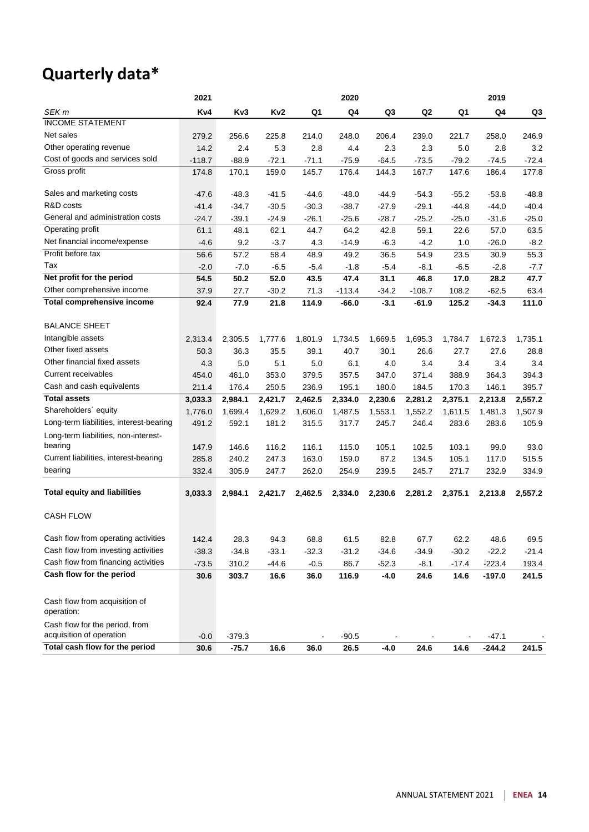# **Quarterly data\***

|                                                 | 2021     |          |         |         | 2020     |         |          |         | 2019     |         |
|-------------------------------------------------|----------|----------|---------|---------|----------|---------|----------|---------|----------|---------|
| SEK m                                           | Kv4      | Kv3      | Kv2     | Q1      | Q4       | Q3      | Q2       | Q1      | Q4       | Q3      |
| <b>INCOME STATEMENT</b>                         |          |          |         |         |          |         |          |         |          |         |
| Net sales                                       | 279.2    | 256.6    | 225.8   | 214.0   | 248.0    | 206.4   | 239.0    | 221.7   | 258.0    | 246.9   |
| Other operating revenue                         | 14.2     | 2.4      | 5.3     | 2.8     | 4.4      | 2.3     | 2.3      | 5.0     | 2.8      | 3.2     |
| Cost of goods and services sold                 | $-118.7$ | $-88.9$  | $-72.1$ | $-71.1$ | $-75.9$  | $-64.5$ | $-73.5$  | $-79.2$ | $-74.5$  | $-72.4$ |
| Gross profit                                    | 174.8    | 170.1    | 159.0   | 145.7   | 176.4    | 144.3   | 167.7    | 147.6   | 186.4    | 177.8   |
| Sales and marketing costs                       | $-47.6$  | $-48.3$  | $-41.5$ | $-44.6$ | $-48.0$  | $-44.9$ | $-54.3$  | $-55.2$ | $-53.8$  | $-48.8$ |
| R&D costs                                       | $-41.4$  | $-34.7$  | $-30.5$ | $-30.3$ | $-38.7$  | $-27.9$ | $-29.1$  | $-44.8$ | $-44.0$  | $-40.4$ |
| General and administration costs                | $-24.7$  | $-39.1$  | $-24.9$ | $-26.1$ | $-25.6$  | $-28.7$ | $-25.2$  | $-25.0$ | $-31.6$  | $-25.0$ |
| Operating profit                                | 61.1     | 48.1     | 62.1    | 44.7    | 64.2     | 42.8    | 59.1     | 22.6    | 57.0     | 63.5    |
| Net financial income/expense                    | $-4.6$   | 9.2      | $-3.7$  | 4.3     | $-14.9$  | $-6.3$  | $-4.2$   | 1.0     | $-26.0$  | $-8.2$  |
| Profit before tax                               | 56.6     | 57.2     | 58.4    | 48.9    | 49.2     | 36.5    | 54.9     | 23.5    | 30.9     | 55.3    |
| Tax                                             | $-2.0$   | $-7.0$   | $-6.5$  | $-5.4$  | $-1.8$   | $-5.4$  | $-8.1$   | $-6.5$  | $-2.8$   | $-7.7$  |
| Net profit for the period                       | 54.5     | 50.2     | 52.0    | 43.5    | 47.4     | 31.1    | 46.8     | 17.0    | 28.2     | 47.7    |
| Other comprehensive income                      | 37.9     | 27.7     | $-30.2$ | 71.3    | $-113.4$ | $-34.2$ | $-108.7$ | 108.2   | $-62.5$  | 63.4    |
| <b>Total comprehensive income</b>               | 92.4     | 77.9     | 21.8    | 114.9   | $-66.0$  | $-3.1$  | $-61.9$  | 125.2   | $-34.3$  | 111.0   |
| <b>BALANCE SHEET</b>                            |          |          |         |         |          |         |          |         |          |         |
| Intangible assets                               | 2,313.4  | 2,305.5  | 1,777.6 | 1,801.9 | 1,734.5  | 1,669.5 | 1,695.3  | 1,784.7 | 1,672.3  | 1,735.1 |
| Other fixed assets                              | 50.3     | 36.3     | 35.5    | 39.1    | 40.7     | 30.1    | 26.6     | 27.7    | 27.6     | 28.8    |
| Other financial fixed assets                    | 4.3      | 5.0      | 5.1     | 5.0     | 6.1      | 4.0     | 3.4      | 3.4     | 3.4      | 3.4     |
| Current receivables                             | 454.0    | 461.0    | 353.0   | 379.5   | 357.5    | 347.0   | 371.4    | 388.9   | 364.3    | 394.3   |
| Cash and cash equivalents                       | 211.4    | 176.4    | 250.5   | 236.9   | 195.1    | 180.0   | 184.5    | 170.3   | 146.1    | 395.7   |
| <b>Total assets</b>                             | 3,033.3  | 2,984.1  | 2,421.7 | 2,462.5 | 2,334.0  | 2,230.6 | 2,281.2  | 2,375.1 | 2,213.8  | 2,557.2 |
| Shareholders' equity                            | 1,776.0  | 1,699.4  | 1,629.2 | 1,606.0 | 1,487.5  | 1,553.1 | 1,552.2  | 1,611.5 | 1,481.3  | 1,507.9 |
| Long-term liabilities, interest-bearing         | 491.2    | 592.1    | 181.2   | 315.5   | 317.7    | 245.7   | 246.4    | 283.6   | 283.6    | 105.9   |
| Long-term liabilities, non-interest-<br>bearing | 147.9    | 146.6    | 116.2   | 116.1   | 115.0    | 105.1   | 102.5    | 103.1   | 99.0     | 93.0    |
| Current liabilities, interest-bearing           | 285.8    | 240.2    | 247.3   | 163.0   | 159.0    | 87.2    | 134.5    | 105.1   | 117.0    | 515.5   |
| bearing                                         | 332.4    | 305.9    | 247.7   | 262.0   | 254.9    | 239.5   | 245.7    | 271.7   | 232.9    | 334.9   |
|                                                 |          |          |         |         |          |         |          |         |          |         |
| <b>Total equity and liabilities</b>             | 3,033.3  | 2,984.1  | 2,421.7 | 2,462.5 | 2,334.0  | 2,230.6 | 2,281.2  | 2,375.1 | 2,213.8  | 2,557.2 |
| <b>CASH FLOW</b>                                |          |          |         |         |          |         |          |         |          |         |
| Cash flow from operating activities             | 142.4    | 28.3     | 94.3    | 68.8    | 61.5     | 82.8    | 67.7     | 62.2    | 48.6     | 69.5    |
| Cash flow from investing activities             | $-38.3$  | $-34.8$  | $-33.1$ | $-32.3$ | $-31.2$  | $-34.6$ | $-34.9$  | $-30.2$ | $-22.2$  | $-21.4$ |
| Cash flow from financing activities             | $-73.5$  | 310.2    | $-44.6$ | $-0.5$  | 86.7     | $-52.3$ | $-8.1$   | $-17.4$ | $-223.4$ | 193.4   |
| Cash flow for the period                        | 30.6     | 303.7    | 16.6    | 36.0    | 116.9    | $-4.0$  | 24.6     | 14.6    | $-197.0$ | 241.5   |
| Cash flow from acquisition of<br>operation:     |          |          |         |         |          |         |          |         |          |         |
| Cash flow for the period, from                  |          |          |         |         |          |         |          |         |          |         |
| acquisition of operation                        | $-0.0$   | $-379.3$ |         |         | $-90.5$  |         |          |         | $-47.1$  |         |
| Total cash flow for the period                  | 30.6     | $-75.7$  | 16.6    | 36.0    | 26.5     | $-4.0$  | 24.6     | 14.6    | $-244.2$ | 241.5   |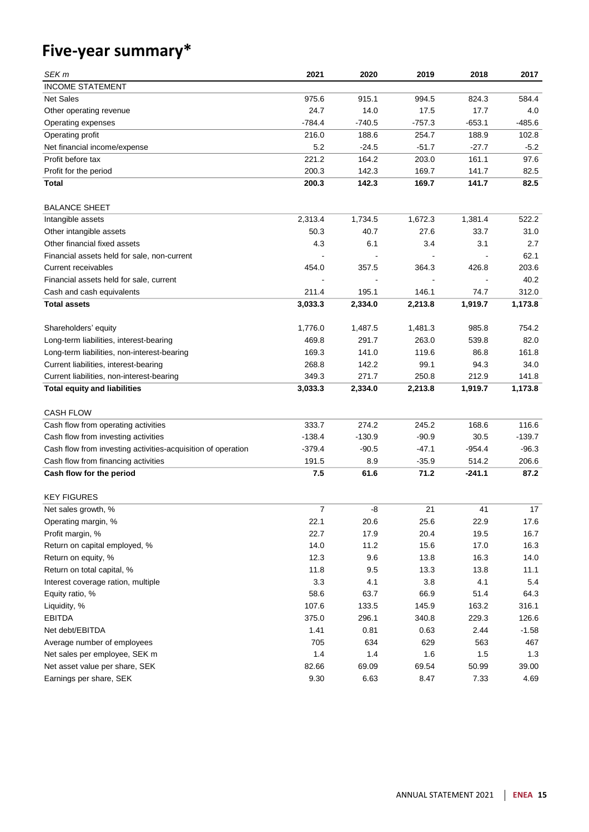# **Five-year summary\***

| SEK m                                                        | 2021     | 2020     | 2019     | 2018     | 2017     |
|--------------------------------------------------------------|----------|----------|----------|----------|----------|
| <b>INCOME STATEMENT</b>                                      |          |          |          |          |          |
| <b>Net Sales</b>                                             | 975.6    | 915.1    | 994.5    | 824.3    | 584.4    |
| Other operating revenue                                      | 24.7     | 14.0     | 17.5     | 17.7     | 4.0      |
| Operating expenses                                           | $-784.4$ | $-740.5$ | $-757.3$ | $-653.1$ | $-485.6$ |
| Operating profit                                             | 216.0    | 188.6    | 254.7    | 188.9    | 102.8    |
| Net financial income/expense                                 | 5.2      | $-24.5$  | $-51.7$  | $-27.7$  | $-5.2$   |
| Profit before tax                                            | 221.2    | 164.2    | 203.0    | 161.1    | 97.6     |
| Profit for the period                                        | 200.3    | 142.3    | 169.7    | 141.7    | 82.5     |
| Total                                                        | 200.3    | 142.3    | 169.7    | 141.7    | 82.5     |
|                                                              |          |          |          |          |          |
| <b>BALANCE SHEET</b>                                         |          |          |          |          |          |
| Intangible assets                                            | 2,313.4  | 1,734.5  | 1,672.3  | 1,381.4  | 522.2    |
| Other intangible assets                                      | 50.3     | 40.7     | 27.6     | 33.7     | 31.0     |
| Other financial fixed assets                                 | 4.3      | 6.1      | 3.4      | 3.1      | 2.7      |
| Financial assets held for sale, non-current                  |          |          |          |          | 62.1     |
| <b>Current receivables</b>                                   | 454.0    | 357.5    | 364.3    | 426.8    | 203.6    |
| Financial assets held for sale, current                      |          |          |          |          | 40.2     |
| Cash and cash equivalents                                    | 211.4    | 195.1    | 146.1    | 74.7     | 312.0    |
| <b>Total assets</b>                                          | 3,033.3  | 2,334.0  | 2,213.8  | 1,919.7  | 1,173.8  |
|                                                              |          |          |          |          |          |
| Shareholders' equity                                         | 1,776.0  | 1,487.5  | 1,481.3  | 985.8    | 754.2    |
| Long-term liabilities, interest-bearing                      | 469.8    | 291.7    | 263.0    | 539.8    | 82.0     |
| Long-term liabilities, non-interest-bearing                  | 169.3    | 141.0    | 119.6    | 86.8     | 161.8    |
| Current liabilities, interest-bearing                        | 268.8    | 142.2    | 99.1     | 94.3     | 34.0     |
| Current liabilities, non-interest-bearing                    | 349.3    | 271.7    | 250.8    | 212.9    | 141.8    |
| <b>Total equity and liabilities</b>                          | 3,033.3  | 2,334.0  | 2,213.8  | 1,919.7  | 1,173.8  |
|                                                              |          |          |          |          |          |
| <b>CASH FLOW</b>                                             |          |          |          |          |          |
| Cash flow from operating activities                          | 333.7    | 274.2    | 245.2    | 168.6    | 116.6    |
| Cash flow from investing activities                          | $-138.4$ | $-130.9$ | $-90.9$  | 30.5     | $-139.7$ |
| Cash flow from investing activities-acquisition of operation | $-379.4$ | $-90.5$  | $-47.1$  | $-954.4$ | $-96.3$  |
| Cash flow from financing activities                          | 191.5    | 8.9      | $-35.9$  | 514.2    | 206.6    |
| Cash flow for the period                                     | 7.5      | 61.6     | 71.2     | -241.1   | 87.2     |
|                                                              |          |          |          |          |          |
| <b>KEY FIGURES</b>                                           |          |          |          |          |          |
| Net sales growth, %                                          | 7        | -8       | 21       | 41       | 17       |
| Operating margin, %                                          | 22.1     | 20.6     | 25.6     | 22.9     | 17.6     |
| Profit margin, %                                             | 22.7     | 17.9     | 20.4     | 19.5     | 16.7     |
| Return on capital employed, %                                | 14.0     | 11.2     | 15.6     | 17.0     | 16.3     |
| Return on equity, %                                          | 12.3     | 9.6      | 13.8     | 16.3     | 14.0     |
| Return on total capital, %                                   | 11.8     | 9.5      | 13.3     | 13.8     | 11.1     |
| Interest coverage ration, multiple                           | 3.3      | 4.1      | 3.8      | 4.1      | 5.4      |
| Equity ratio, %                                              | 58.6     | 63.7     | 66.9     | 51.4     | 64.3     |
| Liquidity, %                                                 | 107.6    | 133.5    | 145.9    | 163.2    | 316.1    |
| <b>EBITDA</b>                                                | 375.0    | 296.1    | 340.8    | 229.3    | 126.6    |
| Net debt/EBITDA                                              | 1.41     | 0.81     | 0.63     | 2.44     | $-1.58$  |
| Average number of employees                                  | 705      | 634      | 629      | 563      | 467      |
| Net sales per employee, SEK m                                | 1.4      | 1.4      | 1.6      | 1.5      | 1.3      |
| Net asset value per share, SEK                               | 82.66    | 69.09    | 69.54    | 50.99    | 39.00    |
| Earnings per share, SEK                                      | 9.30     | 6.63     | 8.47     | 7.33     | 4.69     |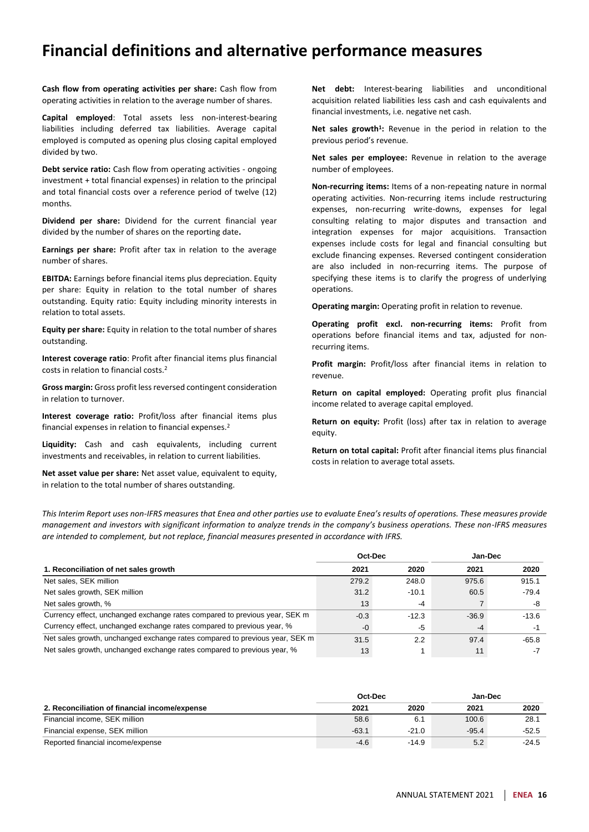### **Financial definitions and alternative performance measures**

**Cash flow from operating activities per share:** Cash flow from operating activities in relation to the average number of shares.

**Capital employed**: Total assets less non-interest-bearing liabilities including deferred tax liabilities. Average capital employed is computed as opening plus closing capital employed divided by two.

**Debt service ratio:** Cash flow from operating activities - ongoing investment + total financial expenses) in relation to the principal and total financial costs over a reference period of twelve (12) months.

**Dividend per share:** Dividend for the current financial year divided by the number of shares on the reporting date**.**

**Earnings per share:** Profit after tax in relation to the average number of shares.

**EBITDA:** Earnings before financial items plus depreciation. Equity per share: Equity in relation to the total number of shares outstanding. Equity ratio: Equity including minority interests in relation to total assets.

**Equity per share:** Equity in relation to the total number of shares outstanding.

**Interest coverage ratio**: Profit after financial items plus financial costs in relation to financial costs.<sup>2</sup>

**Gross margin:** Gross profit less reversed contingent consideration in relation to turnover.

**Interest coverage ratio:** Profit/loss after financial items plus financial expenses in relation to financial expenses.<sup>2</sup>

**Liquidity:** Cash and cash equivalents, including current investments and receivables, in relation to current liabilities.

**Net asset value per share:** Net asset value, equivalent to equity, in relation to the total number of shares outstanding.

**Net debt:** Interest-bearing liabilities and unconditional acquisition related liabilities less cash and cash equivalents and financial investments, i.e. negative net cash.

**Net sales growth<sup>1</sup> :** Revenue in the period in relation to the previous period's revenue.

**Net sales per employee:** Revenue in relation to the average number of employees.

**Non-recurring items:** Items of a non-repeating nature in normal operating activities. Non-recurring items include restructuring expenses, non-recurring write-downs, expenses for legal consulting relating to major disputes and transaction and integration expenses for major acquisitions. Transaction expenses include costs for legal and financial consulting but exclude financing expenses. Reversed contingent consideration are also included in non-recurring items. The purpose of specifying these items is to clarify the progress of underlying operations.

**Operating margin:** Operating profit in relation to revenue.

**Operating profit excl. non-recurring items:** Profit from operations before financial items and tax, adjusted for nonrecurring items.

**Profit margin:** Profit/loss after financial items in relation to revenue.

**Return on capital employed:** Operating profit plus financial income related to average capital employed.

**Return on equity:** Profit (loss) after tax in relation to average equity.

**Return on total capital:** Profit after financial items plus financial costs in relation to average total assets.

*This Interim Report uses non-IFRS measures that Enea and other parties use to evaluate Enea's results of operations. These measures provide management and investors with significant information to analyze trends in the company's business operations. These non-IFRS measures are intended to complement, but not replace, financial measures presented in accordance with IFRS.*

|                                                                             | Oct-Dec |         | Jan-Dec |         |
|-----------------------------------------------------------------------------|---------|---------|---------|---------|
| 1. Reconciliation of net sales growth                                       | 2021    | 2020    | 2021    | 2020    |
| Net sales, SEK million                                                      | 279.2   | 248.0   | 975.6   | 915.1   |
| Net sales growth, SEK million                                               | 31.2    | $-10.1$ | 60.5    | $-79.4$ |
| Net sales growth, %                                                         | 13      | -4      |         | -8      |
| Currency effect, unchanged exchange rates compared to previous year, SEK m  | $-0.3$  | $-12.3$ | $-36.9$ | $-13.6$ |
| Currency effect, unchanged exchange rates compared to previous year, %      | $-0$    | -5      | -4      |         |
| Net sales growth, unchanged exchange rates compared to previous year, SEK m | 31.5    | 2.2     | 97.4    | $-65.8$ |
| Net sales growth, unchanged exchange rates compared to previous year, %     | 13      |         | 11      |         |

|                                               | Oct-Dec |         | Jan-Dec |         |  |
|-----------------------------------------------|---------|---------|---------|---------|--|
| 2. Reconciliation of financial income/expense | 2021    | 2020    | 2021    | 2020    |  |
| Financial income, SEK million                 | 58.6    | 6.1     | 100.6   | 28.1    |  |
| Financial expense, SEK million                | $-63.1$ | $-21.0$ | $-95.4$ | $-52.5$ |  |
| Reported financial income/expense             | $-4.6$  | $-14.9$ | 5.2     | $-24.5$ |  |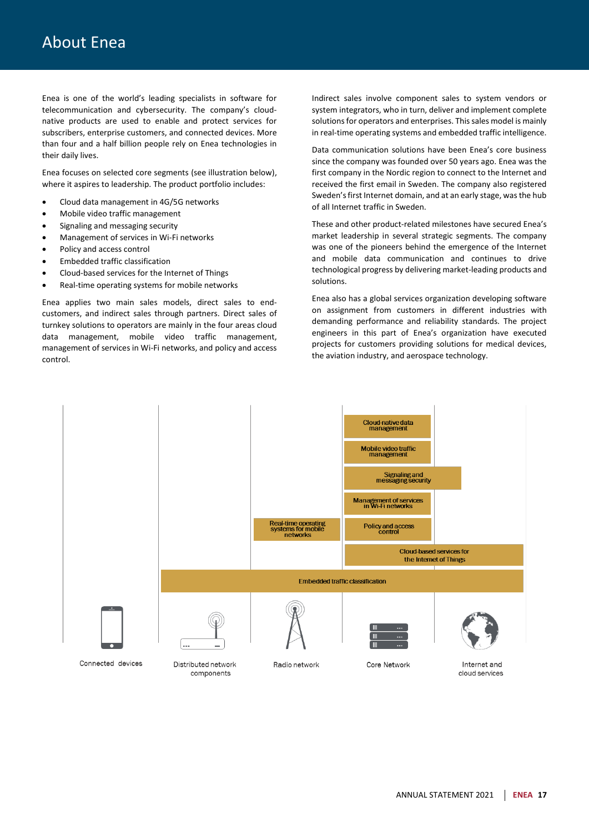Enea is one of the world's leading specialists in software for telecommunication and cybersecurity. The company's cloudnative products are used to enable and protect services for subscribers, enterprise customers, and connected devices. More than four and a half billion people rely on Enea technologies in their daily lives.

Enea focuses on selected core segments (see illustration below), where it aspires to leadership. The product portfolio includes:

- Cloud data management in 4G/5G networks
- Mobile video traffic management
- Signaling and messaging security
- Management of services in Wi-Fi networks
- Policy and access control
- Embedded traffic classification
- Cloud-based services for the Internet of Things
- Real-time operating systems for mobile networks

Enea applies two main sales models, direct sales to endcustomers, and indirect sales through partners. Direct sales of turnkey solutions to operators are mainly in the four areas cloud data management, mobile video traffic management, management of services in Wi-Fi networks, and policy and access control.

Indirect sales involve component sales to system vendors or system integrators, who in turn, deliver and implement complete solutions for operators and enterprises. This sales model is mainly in real-time operating systems and embedded traffic intelligence.

Data communication solutions have been Enea's core business since the company was founded over 50 years ago. Enea was the first company in the Nordic region to connect to the Internet and received the first email in Sweden. The company also registered Sweden's first Internet domain, and at an early stage, was the hub of all Internet traffic in Sweden.

These and other product-related milestones have secured Enea's market leadership in several strategic segments. The company was one of the pioneers behind the emergence of the Internet and mobile data communication and continues to drive technological progress by delivering market-leading products and solutions.

Enea also has a global services organization developing software on assignment from customers in different industries with demanding performance and reliability standards. The project engineers in this part of Enea's organization have executed projects for customers providing solutions for medical devices, the aviation industry, and aerospace technology.

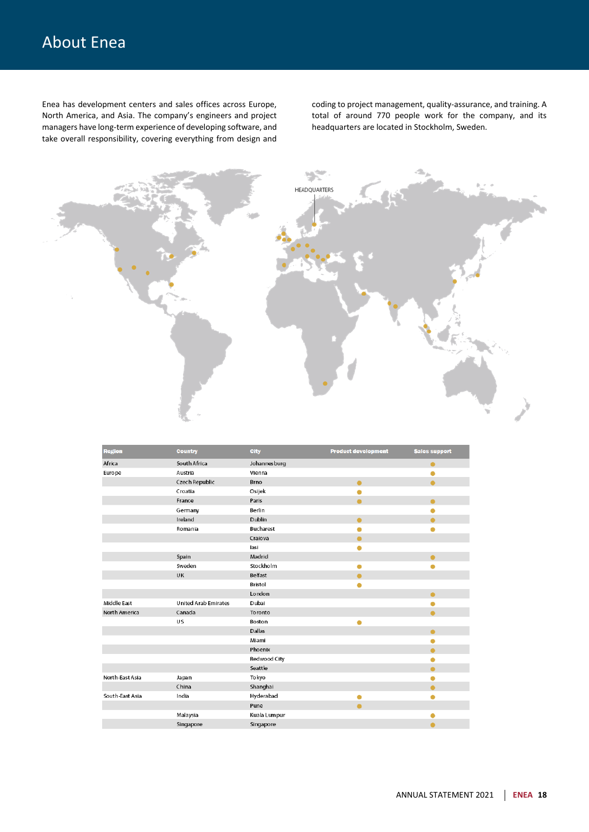# About Enea

Enea has development centers and sales offices across Europe, North America, and Asia. The company's engineers and project managers have long-term experience of developing software, and take overall responsibility, covering everything from design and

coding to project management, quality-assurance, and training. A total of around 770 people work for the company, and its headquarters are located in Stockholm, Sweden.



| <b>Region</b>   | <b>Country</b>              | <b>City</b>      | <b>Product development</b> | <b>Sales support</b> |
|-----------------|-----------------------------|------------------|----------------------------|----------------------|
| Africa          | South Africa                | Johannesburg     |                            | ●                    |
| Europe          | Austria                     | Vienna           |                            |                      |
|                 | Czech Republic              | Brno             | ٠                          | $\bullet$            |
|                 | Croatia                     | Osijek           | ٠                          |                      |
|                 | France                      | Paris            | ٠                          | $\bullet$            |
|                 | Germany                     | Berlin           |                            |                      |
|                 | Ireland                     | Dublin           |                            |                      |
|                 | Romania                     | <b>Bucharest</b> | c                          | e                    |
|                 |                             | Craiova          | ٠                          |                      |
|                 |                             | lasi             |                            |                      |
|                 | Spain                       | Madrid           |                            | ٠                    |
|                 | Sweden                      | Stockholm        | C                          | e                    |
|                 | UK                          | Belfast          |                            |                      |
|                 |                             | Bristol          |                            |                      |
|                 |                             | London           |                            |                      |
| Middle East     | <b>United Arab Emirates</b> | Dubai            |                            |                      |
| North America   | Canada                      | Toronto          |                            | ٠                    |
|                 | US                          | Boston           | ٠                          |                      |
|                 |                             | Dallas           |                            | ●                    |
|                 |                             | Miami            |                            | e                    |
|                 |                             | Phoenix          |                            |                      |
|                 |                             | Redwood City     |                            |                      |
|                 |                             | Seattle          |                            | ●                    |
| North-East Asia | Japan                       | Tokyo            |                            |                      |
|                 | China                       | Shanghai         |                            |                      |
| South-East Asia | India                       | Hyderabad        | О                          | О                    |
|                 |                             | Pune             |                            |                      |
|                 | Malaysia                    | Kuala Lumpur     |                            |                      |
|                 | Singapore                   | Singapore        |                            | ۸                    |
|                 |                             |                  |                            |                      |